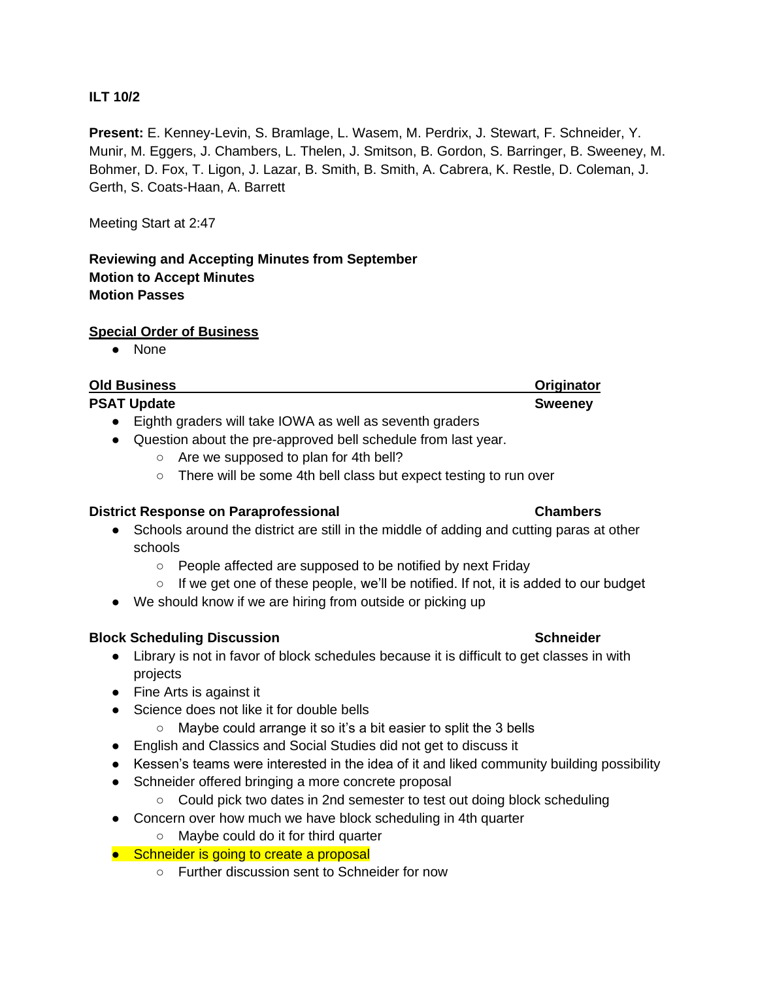## **ILT 10/2**

**Present:** E. Kenney-Levin, S. Bramlage, L. Wasem, M. Perdrix, J. Stewart, F. Schneider, Y. Munir, M. Eggers, J. Chambers, L. Thelen, J. Smitson, B. Gordon, S. Barringer, B. Sweeney, M. Bohmer, D. Fox, T. Ligon, J. Lazar, B. Smith, B. Smith, A. Cabrera, K. Restle, D. Coleman, J. Gerth, S. Coats-Haan, A. Barrett

Meeting Start at 2:47

# **Reviewing and Accepting Minutes from September Motion to Accept Minutes Motion Passes**

### **Special Order of Business**

● None

| <b>Old Business</b> | Originator     |
|---------------------|----------------|
| <b>PSAT Update</b>  | <b>Sweeney</b> |

- Eighth graders will take IOWA as well as seventh graders
- Question about the pre-approved bell schedule from last year.
	- Are we supposed to plan for 4th bell?
	- o There will be some 4th bell class but expect testing to run over

### **District Response on Paraprofessional Chambers**

- Schools around the district are still in the middle of adding and cutting paras at other schools
	- People affected are supposed to be notified by next Friday
	- $\circ$  If we get one of these people, we'll be notified. If not, it is added to our budget
- We should know if we are hiring from outside or picking up

### **Block Scheduling Discussion Schneider Schneider Schneider Schneider**

- Library is not in favor of block schedules because it is difficult to get classes in with projects
- Fine Arts is against it
- Science does not like it for double bells
	- Maybe could arrange it so it's a bit easier to split the 3 bells
- English and Classics and Social Studies did not get to discuss it
- Kessen's teams were interested in the idea of it and liked community building possibility
- Schneider offered bringing a more concrete proposal
	- Could pick two dates in 2nd semester to test out doing block scheduling
- Concern over how much we have block scheduling in 4th quarter
	- Maybe could do it for third quarter

## ● Schneider is going to create a proposal

○ Further discussion sent to Schneider for now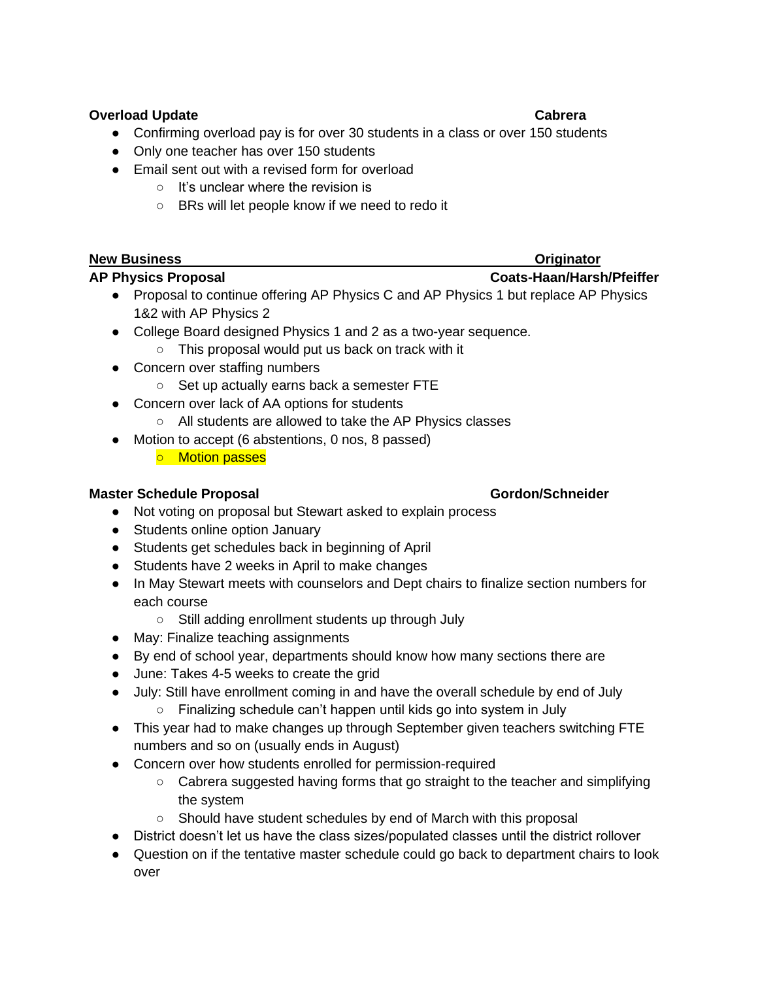## **Overload Update Cabrera**

- Confirming overload pay is for over 30 students in a class or over 150 students
- Only one teacher has over 150 students
- Email sent out with a revised form for overload
	- It's unclear where the revision is
	- BRs will let people know if we need to redo it

# **New Business Originator AP Physics Proposal Coats-Haan/Harsh/Pfeiffer**

- Proposal to continue offering AP Physics C and AP Physics 1 but replace AP Physics 1&2 with AP Physics 2
- College Board designed Physics 1 and 2 as a two-year sequence.
	- This proposal would put us back on track with it
- Concern over staffing numbers
	- Set up actually earns back a semester FTE
- Concern over lack of AA options for students
	- All students are allowed to take the AP Physics classes
- Motion to accept (6 abstentions, 0 nos, 8 passed)
	- o Motion passes

# **Master Schedule Proposal <b>Gordon** Schneider

- Not voting on proposal but Stewart asked to explain process
- Students online option January
- Students get schedules back in beginning of April
- Students have 2 weeks in April to make changes
- In May Stewart meets with counselors and Dept chairs to finalize section numbers for each course
	- Still adding enrollment students up through July
- May: Finalize teaching assignments
- By end of school year, departments should know how many sections there are
- June: Takes 4-5 weeks to create the grid
- July: Still have enrollment coming in and have the overall schedule by end of July ○ Finalizing schedule can't happen until kids go into system in July
- This year had to make changes up through September given teachers switching FTE numbers and so on (usually ends in August)
- Concern over how students enrolled for permission-required
	- Cabrera suggested having forms that go straight to the teacher and simplifying the system
	- Should have student schedules by end of March with this proposal
- District doesn't let us have the class sizes/populated classes until the district rollover
- Question on if the tentative master schedule could go back to department chairs to look over